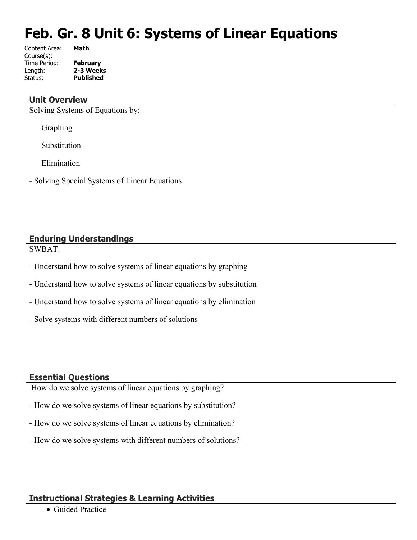# **Feb. Gr. 8 Unit 6: Systems of Linear Equations**

| Content Area: | Math             |
|---------------|------------------|
| Course(s):    |                  |
| Time Period:  | <b>February</b>  |
| Length:       | 2-3 Weeks        |
| Status:       | <b>Published</b> |
|               |                  |

#### **Unit Overview**

Solving Systems of Equations by:

Graphing

Substitution

Elimination

- Solving Special Systems of Linear Equations

# **Enduring Understandings**

SWBAT:

- Understand how to solve systems of linear equations by graphing
- Understand how to solve systems of linear equations by substitution
- Understand how to solve systems of linear equations by elimination
- Solve systems with different numbers of solutions

#### **Essential Questions**

How do we solve systems of linear equations by graphing?

- How do we solve systems of linear equations by substitution?
- How do we solve systems of linear equations by elimination?
- How do we solve systems with different numbers of solutions?

## **Instructional Strategies & Learning Activities**

Guided Practice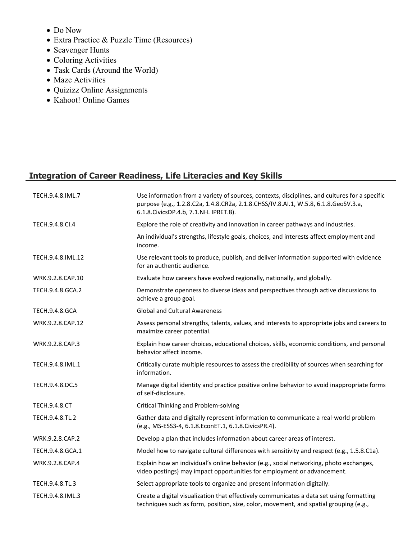- Do Now
- Extra Practice & Puzzle Time (Resources)
- Scavenger Hunts
- Coloring Activities
- Task Cards (Around the World)
- Maze Activities
- Quizizz Online Assignments
- Kahoot! Online Games

## **Integration of Career Readiness, Life Literacies and Key Skills**

| TECH.9.4.8.IML.7      | Use information from a variety of sources, contexts, disciplines, and cultures for a specific<br>purpose (e.g., 1.2.8.C2a, 1.4.8.CR2a, 2.1.8.CHSS/IV.8.AI.1, W.5.8, 6.1.8.GeoSV.3.a,<br>6.1.8. Civics DP.4.b, 7.1. NH. IPRET.8). |
|-----------------------|----------------------------------------------------------------------------------------------------------------------------------------------------------------------------------------------------------------------------------|
| TECH.9.4.8.Cl.4       | Explore the role of creativity and innovation in career pathways and industries.                                                                                                                                                 |
|                       | An individual's strengths, lifestyle goals, choices, and interests affect employment and<br>income.                                                                                                                              |
| TECH.9.4.8.IML.12     | Use relevant tools to produce, publish, and deliver information supported with evidence<br>for an authentic audience.                                                                                                            |
| WRK.9.2.8.CAP.10      | Evaluate how careers have evolved regionally, nationally, and globally.                                                                                                                                                          |
| TECH.9.4.8.GCA.2      | Demonstrate openness to diverse ideas and perspectives through active discussions to<br>achieve a group goal.                                                                                                                    |
| <b>TECH.9.4.8.GCA</b> | <b>Global and Cultural Awareness</b>                                                                                                                                                                                             |
| WRK.9.2.8.CAP.12      | Assess personal strengths, talents, values, and interests to appropriate jobs and careers to<br>maximize career potential.                                                                                                       |
| WRK.9.2.8.CAP.3       | Explain how career choices, educational choices, skills, economic conditions, and personal<br>behavior affect income.                                                                                                            |
| TECH.9.4.8.IML.1      | Critically curate multiple resources to assess the credibility of sources when searching for<br>information.                                                                                                                     |
| TECH.9.4.8.DC.5       | Manage digital identity and practice positive online behavior to avoid inappropriate forms<br>of self-disclosure.                                                                                                                |
| <b>TECH.9.4.8.CT</b>  | <b>Critical Thinking and Problem-solving</b>                                                                                                                                                                                     |
| TECH.9.4.8.TL.2       | Gather data and digitally represent information to communicate a real-world problem<br>(e.g., MS-ESS3-4, 6.1.8.EconET.1, 6.1.8.CivicsPR.4).                                                                                      |
| WRK.9.2.8.CAP.2       | Develop a plan that includes information about career areas of interest.                                                                                                                                                         |
| TECH.9.4.8.GCA.1      | Model how to navigate cultural differences with sensitivity and respect (e.g., 1.5.8.C1a).                                                                                                                                       |
| WRK.9.2.8.CAP.4       | Explain how an individual's online behavior (e.g., social networking, photo exchanges,<br>video postings) may impact opportunities for employment or advancement.                                                                |
| TECH.9.4.8.TL.3       | Select appropriate tools to organize and present information digitally.                                                                                                                                                          |
| TECH.9.4.8.IML.3      | Create a digital visualization that effectively communicates a data set using formatting<br>techniques such as form, position, size, color, movement, and spatial grouping (e.g.,                                                |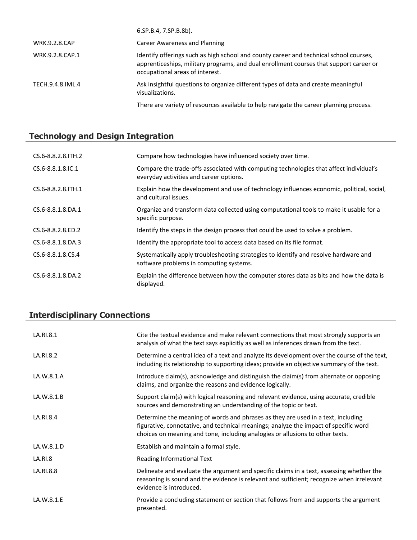|                      | 6.SP.B.4, 7.SP.B.8b).                                                                                                                                                                                               |
|----------------------|---------------------------------------------------------------------------------------------------------------------------------------------------------------------------------------------------------------------|
| <b>WRK.9.2.8.CAP</b> | Career Awareness and Planning                                                                                                                                                                                       |
| WRK.9.2.8.CAP.1      | Identify offerings such as high school and county career and technical school courses,<br>apprenticeships, military programs, and dual enrollment courses that support career or<br>occupational areas of interest. |
| TECH.9.4.8.IML.4     | Ask insightful questions to organize different types of data and create meaningful<br>visualizations.                                                                                                               |
|                      | There are variety of resources available to help navigate the career planning process.                                                                                                                              |

# **Technology and Design Integration**

| CS.6-8.8.2.8. TH. 2      | Compare how technologies have influenced society over time.                                                                       |
|--------------------------|-----------------------------------------------------------------------------------------------------------------------------------|
| CS.6-8.8.1.8.IC.1        | Compare the trade-offs associated with computing technologies that affect individual's<br>everyday activities and career options. |
| CS.6-8.8.2.8. ITH. 1     | Explain how the development and use of technology influences economic, political, social,<br>and cultural issues.                 |
| CS.6-8.8.1.8.DA.1        | Organize and transform data collected using computational tools to make it usable for a<br>specific purpose.                      |
| $CS.6 - 8.8.2.8$ . ED. 2 | Identify the steps in the design process that could be used to solve a problem.                                                   |
| $CS.6 - 8.8.1.8.DA.3$    | Identify the appropriate tool to access data based on its file format.                                                            |
| CS.6-8.8.1.8.CS.4        | Systematically apply troubleshooting strategies to identify and resolve hardware and<br>software problems in computing systems.   |
| CS.6-8.8.1.8.DA.2        | Explain the difference between how the computer stores data as bits and how the data is<br>displayed.                             |

# **Interdisciplinary Connections**

| LA.RI.8.1  | Cite the textual evidence and make relevant connections that most strongly supports an<br>analysis of what the text says explicitly as well as inferences drawn from the text.                                                                            |
|------------|-----------------------------------------------------------------------------------------------------------------------------------------------------------------------------------------------------------------------------------------------------------|
| LA.RI.8.2  | Determine a central idea of a text and analyze its development over the course of the text,<br>including its relationship to supporting ideas; provide an objective summary of the text.                                                                  |
| LA.W.8.1.A | Introduce claim(s), acknowledge and distinguish the claim(s) from alternate or opposing<br>claims, and organize the reasons and evidence logically.                                                                                                       |
| LA.W.8.1.B | Support claim(s) with logical reasoning and relevant evidence, using accurate, credible<br>sources and demonstrating an understanding of the topic or text.                                                                                               |
| LA.RI.8.4  | Determine the meaning of words and phrases as they are used in a text, including<br>figurative, connotative, and technical meanings; analyze the impact of specific word<br>choices on meaning and tone, including analogies or allusions to other texts. |
| LA.W.8.1.D | Establish and maintain a formal style.                                                                                                                                                                                                                    |
| LA.RI.8    | Reading Informational Text                                                                                                                                                                                                                                |
| LA.RI.8.8  | Delineate and evaluate the argument and specific claims in a text, assessing whether the<br>reasoning is sound and the evidence is relevant and sufficient; recognize when irrelevant<br>evidence is introduced.                                          |
| LA.W.8.1.E | Provide a concluding statement or section that follows from and supports the argument<br>presented.                                                                                                                                                       |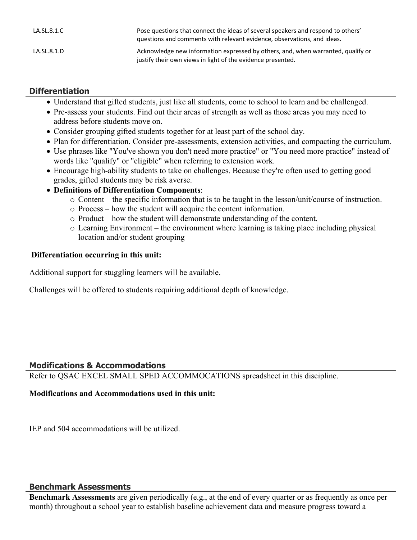| LA.SL.8.1.C | Pose questions that connect the ideas of several speakers and respond to others'<br>guestions and comments with relevant evidence, observations, and ideas. |
|-------------|-------------------------------------------------------------------------------------------------------------------------------------------------------------|
| LA.SL.8.1.D | Acknowledge new information expressed by others, and, when warranted, qualify or<br>justify their own views in light of the evidence presented.             |

### **Differentiation**

- Understand that gifted students, just like all students, come to school to learn and be challenged.
- Pre-assess your students. Find out their areas of strength as well as those areas you may need to address before students move on.
- Consider grouping gifted students together for at least part of the school day.
- Plan for differentiation. Consider pre-assessments, extension activities, and compacting the curriculum.
- Use phrases like "You've shown you don't need more practice" or "You need more practice" instead of words like "qualify" or "eligible" when referring to extension work.
- Encourage high-ability students to take on challenges. Because they're often used to getting good grades, gifted students may be risk averse.
- **Definitions of Differentiation Components**:
	- o Content the specific information that is to be taught in the lesson/unit/course of instruction.
	- o Process how the student will acquire the content information.
	- o Product how the student will demonstrate understanding of the content.
	- o Learning Environment the environment where learning is taking place including physical location and/or student grouping

#### **Differentiation occurring in this unit:**

Additional support for stuggling learners will be available.

Challenges will be offered to students requiring additional depth of knowledge.

#### **Modifications & Accommodations**

Refer to QSAC EXCEL SMALL SPED ACCOMMOCATIONS spreadsheet in this discipline.

#### **Modifications and Accommodations used in this unit:**

IEP and 504 accommodations will be utilized.

#### **Benchmark Assessments**

**Benchmark Assessments** are given periodically (e.g., at the end of every quarter or as frequently as once per month) throughout a school year to establish baseline achievement data and measure progress toward a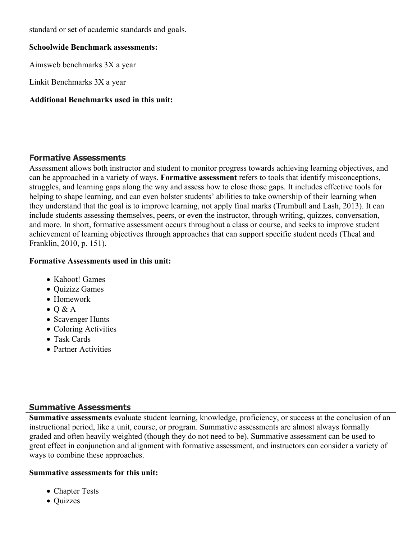standard or set of academic standards and goals.

#### **Schoolwide Benchmark assessments:**

Aimsweb benchmarks 3X a year

Linkit Benchmarks 3X a year

#### **Additional Benchmarks used in this unit:**

#### **Formative Assessments**

Assessment allows both instructor and student to monitor progress towards achieving learning objectives, and can be approached in a variety of ways. **Formative assessment** refers to tools that identify misconceptions, struggles, and learning gaps along the way and assess how to close those gaps. It includes effective tools for helping to shape learning, and can even bolster students' abilities to take ownership of their learning when they understand that the goal is to improve learning, not apply final marks (Trumbull and Lash, 2013). It can include students assessing themselves, peers, or even the instructor, through writing, quizzes, conversation, and more. In short, formative assessment occurs throughout a class or course, and seeks to improve student achievement of learning objectives through approaches that can support specific student needs (Theal and Franklin, 2010, p. 151).

#### **Formative Assessments used in this unit:**

- Kahoot! Games
- Ouizizz Games
- Homework
- $\bullet$  O & A
- Scavenger Hunts
- Coloring Activities
- Task Cards
- Partner Activities

#### **Summative Assessments**

**Summative assessments** evaluate student learning, knowledge, proficiency, or success at the conclusion of an instructional period, like a unit, course, or program. Summative assessments are almost always formally graded and often heavily weighted (though they do not need to be). Summative assessment can be used to great effect in conjunction and alignment with formative assessment, and instructors can consider a variety of ways to combine these approaches.

#### **Summative assessments for this unit:**

- Chapter Tests
- Quizzes